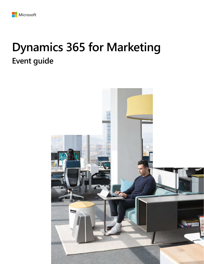# **Dynamics 365 for Marketing Event guide**

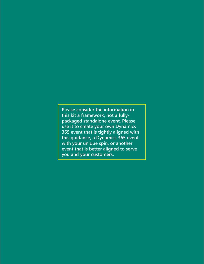**Please consider the information in this kit a framework, not a fullypackaged standalone event. Please use it to create your own Dynamics 365 event that is tightly aligned with this guidance, a Dynamics 365 event with your unique spin, or another event that is better aligned to serve you and your customers.**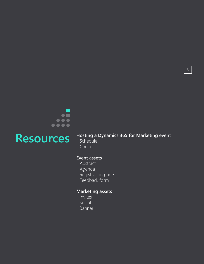

#### Resources Hosting a Dynamics 365 for Marketing event **Schedule**

Checklist

#### **Event assets**

Abstract Agenda Registration page Feedback form

### **Marketing assets**

Invites Social Banner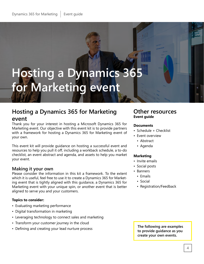# **Hosting a Dynamics 365 for Marketing event**

## **Hosting a Dynamics 365 for Marketing event**

Thank you for your interest in hosting a Microsoft Dynamics 365 for Marketing event. Our objective with this event kit is to provide partners with a framework for hosting a Dynamics 365 for Marketing event of your own.

This event kit will provide guidance on hosting a successful event and resources to help you pull it off, including a workback schedule, a to-do checklist, an event abstract and agenda, and assets to help you market your event.

#### **Making it your own**

Please consider the information in this kit a framework. To the extent which it is useful, feel free to use it to create a Dynamics 365 for Marketing event that is tightly aligned with this guidance, a Dynamics 365 for Marketing event with your unique spin, or another event that is better aligned to serve you and your customers.

#### **Topics to consider:**

- Evaluating marketing performance
- Digital transformation in marketing
- Leveraging technology to connect sales and marketing
- Transform your customer journey in the cloud
- Defining and creating your lead nurture process

#### **Other resources Event guide**

#### **Documents**

- Schedule + Checklist
- Event overview
- Abstract
- Agenda

#### **Marketing**

- Invite emails
- Social posts
- Banners
	- Emails
	- Social
	- Registration/Feedback

**The following are examples to provide guidance as you create your own events.**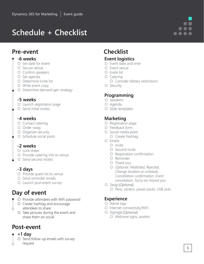# **Schedule + Checklist**

## **Pre-event**

#### **-6 weeks**

- O Set date for event
- O Secure venue
- O Confirm speakers
- O Set agenda
- O Determine invite list
- O Write event copy
- O Determine demand gen strategy

#### **-5 weeks**

- O Launch registration page
- O Send initial invites

#### **-4 weeks**

- O Contact catering
- O Order swag
- O Organize security
- O Schedule social posts

#### **-2 weeks**

- O Lock slides
- O Provide catering info to venue
- O Send second invites

### **-3 days**

- O Provide guest list to venue
- O Send reminder emails
- O Launch post-event survey

## **Day of event**

- O Provide attendees with WiFi password
- O Create hashtag and encourage attendees to share
	- O Take pictures during the event and share them on social

## **Post-event**

- **+1 day**
	- O Send follow-up emails with survey
- request

# **Checklist**

#### **Event logistics**

- O Event date and time
- O Event venue
- O Invite list
- O Catering
	- O Consider dietary restrictions
- O Security

#### **Programming**

- O Speakers
- O Agenda
- O Slide templates

### **Marketing**

- O Registration page
- O Feedback form
- O Social media posts O Create hashtag
- O Emails
	- O Invite
	- O Second invite
	- O Registration confirmation
	- O Reminder
	- O Thank you
	- O *Optional*: *Waitlisted, Rejected, Change location or schedule, Cancellation confirmation, Event cancellation, Sorry we missed you*
- O *Swag* O *Pens, stickers, power packs, USB sicks*

#### **Experience**

- O Name tags
- O Internet connectivity/WiFi
- O Signage (Optional) O *Welcome signs, posters*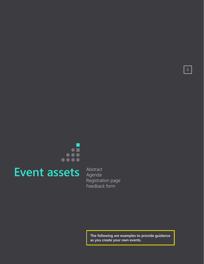

# **Event assets** Abstract

Agenda Registration page Feedback form

> **The following are examples to provide guidance as you create your own events.**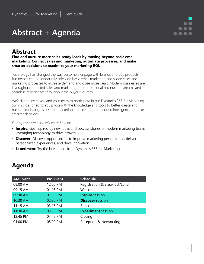# **Abstract + Agenda**

## **Abstract**

**Find and nurture more sales-ready leads by moving beyond basic email marketing. Connect sales and marketing, automate processes, and make smarter decisions to maximize your marketing ROI.**

Technology has changed the way customers engage with brands and buy products. Businesses can no longer rely solely on basic email marketing and siloed sales and marketing processes to increase demand and close more deals. Modern businesses are leveraging connected sales and marketing to offer personalized nurture streams and seamless experiences throughout the buyer's journey.

We'd like to invite you and your team to participate in our Dynamics 365 for Marketing Summit, designed to equip you with the knowledge and tools to better create and nurture leads, align sales and marketing, and leverage embedded intelligence to make smarter decisions.

*During this event you will learn how to:*

- **• Inspire:** Get inspired by new ideas and success stories of modern marketing teams leveraging technology to drive growth.
- **• Discover:** Discover opportunities to improve marketing performance, deliver personalized experiences, and drive innovation.
- **• Experiment:** Try the latest tools from Dynamics 365 for Marketing.

| Agenda |
|--------|
|--------|

| <b>AM Event</b> | <b>PM Event</b> | <b>Schedule</b>                |
|-----------------|-----------------|--------------------------------|
| 08:00 AM        | 12:00 PM        | Registration & Breakfast/Lunch |
| 09:15 AM        | 01:15 PM        | Welcome                        |
| 09:30 AM        | 01:30 PM        | <b>Inspire</b> session         |
| 10:30 AM        | 02:30 PM        | <b>Discover</b> session        |
| 11:15 AM        | 03:15 PM        | <b>Break</b>                   |
| 11:30 AM        | 03:30 PM        | <b>Experiment</b> session      |
| 12:45 PM        | 04:45 PM        | Closing                        |
| 01:00 PM        | 05:00 PM        | Reception & Networking         |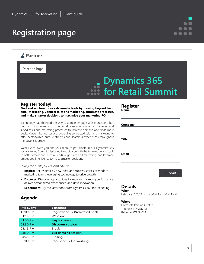# **Registration page**

### **Partner**

**Partner logo**

# **Dynamics 365 for Retail Summit**

#### **Register today!**

**Find and nurture more sales-ready leads by moving beyond basic email marketing. Connect sales and marketing, automate processes, and make smarter decisions to maximize your marketing ROI.**

Technology has changed the way customers engage with brands and buy products. Businesses can no longer rely solely on basic email marketing and siloed sales and marketing processes to increase demand and close more deals. Modern businesses are leveraging connected sales and marketing to offer personalized nurture streams and seamless experiences throughout the buyer's journey.

We'd like to invite you and your team to participate in our Dynamics 365 for Marketing Summit, designed to equip you with the knowledge and tools to better create and nurture leads, align sales and marketing, and leverage embedded intelligence to make smarter decisions.

#### *During this event you will learn how to:*

- **• Inspire:** Get inspired by new ideas and success stories of modern marketing teams leveraging technology to drive growth.
- **• Discover:** Discover opportunities to improve marketing performance, deliver personalized experiences, and drive innovation.
- **• Experiment:** Try the latest tools from Dynamics 365 for Marketing.

#### **Agenda**

| <b>Schedule</b>                |
|--------------------------------|
| Registration & Breakfast/Lunch |
| Welcome                        |
| <b>Inspire</b> session         |
| <b>Discover</b> session        |
| Break                          |
| <b>Experiment</b> session      |
| Closing                        |
| Reception & Networking         |
|                                |

#### **Register**

**Name**

**Company**

**Title**

**Email**

#### Submit

#### **Details When**

February 7, 2019 | 12:00 PM - 5:00 PM PST

#### **Where**

Microsoft Training Center 700 Bellevue Way NE Bellevue, WA 98004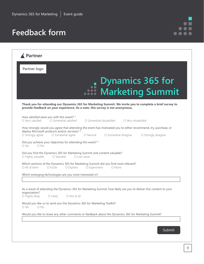# **Feedback form**



| Partner logo      |                                                                   |                                                                                                                                                                                             |
|-------------------|-------------------------------------------------------------------|---------------------------------------------------------------------------------------------------------------------------------------------------------------------------------------------|
|                   |                                                                   | Dynamics 365 for<br>Summit  Marketing Summit                                                                                                                                                |
|                   |                                                                   | Thank you for attending our Dynamics 365 for Marketing Summit. We invite you to complete a brief survey to<br>provide feedback on your experience. As a note, this survey is not anonymous. |
| O Very satisfied  | How satisfied were you with this event? *<br>O Somewhat satisfied | O Somewhat dissatisfied<br>O Very dissatisfied                                                                                                                                              |
| O Strongly agree  | deploy Microsoft products and/or services? *<br>O Somewhat agree  | How strongly would you agree that attending the event has motivated you to either recommend, try, purchase, or<br>O Somewhat disagree<br>O Strongly disagree<br>O Neutral                   |
| $O$ Yes<br>ONO    | Did you achieve your objectives for attending this event? *       |                                                                                                                                                                                             |
| O Highly valuable | O Valuable                                                        | Did you find the Dynamics 365 for Marketing Summit and content valuable?<br>O Low value                                                                                                     |
| O All of them     | O Excite<br>O Explore                                             | Which sections of the Dynamics 365 for Marketing Summit did you find most relevant?<br>O Experiment<br>O None                                                                               |
|                   | Which emerging technologies are you most interested in?           |                                                                                                                                                                                             |
| organization?     | O Highly likely O Likely O Not at all                             | As a result of attending the Dynamics 365 for Marketing Summit, how likely are you to deliver this content to your                                                                          |
| O Yes<br>O No     |                                                                   | Would you like us to send you the Dynamics 365 for Marketing Toolkit?                                                                                                                       |
|                   |                                                                   | Would you like to share any other comments or feedback about the Dynamics 365 for Marketing Summit?                                                                                         |
|                   |                                                                   |                                                                                                                                                                                             |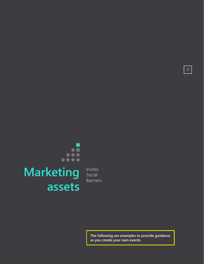# .... **Marketing Social assets**

Social Banners

> **The following are examples to provide guidance as you create your own events.**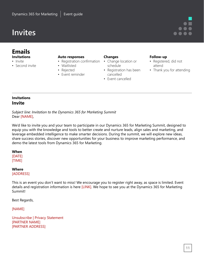#### **Emails Invitations**

- Invite
- Second invite
- **Auto responses**
- Registration confirmation
	- Waitlisted
	- Rejected
- Event reminder

#### **Changes**

- Change location or schedule
- Registration has been cancelled
- Event cancelled

#### **Follow-up**

- Registered, did not attend
- Thank you for attending

#### **Invitations Invite**

*Subject line: Invitation to the Dynamics 365 for Marketing Summit* Dear [NAME],

We'd like to invite you and your team to participate in our Dynamics 365 for Marketing Summit, designed to equip you with the knowledge and tools to better create and nurture leads, align sales and marketing, and leverage embedded intelligence to make smarter decisions. During the summit, we will explore new ideas, share success stories, discover new opportunities for your business to improve marketing performance, and demo the latest tools from Dynamics 365 for Marketing.

#### **When**

[DATE] [TIME]

#### **Where**

[ADDRESS]

This is an event you don't want to miss! We encourage you to register right away, as space is limited. Event details and registration information is here [LINK]. We hope to see you at the Dynamics 365 for Marketing Summit!

Best Regards,

[NAME]

Unsubscribe | Privacy Statement [PARTNER NAME] [PARTNER ADDRESS]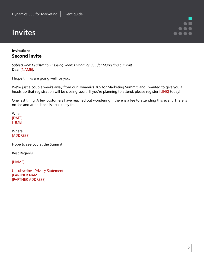#### **Invitations Second invite**

*Subject line: Registration Closing Soon: Dynamics 365 for Marketing Summit* Dear [NAME],

I hope thinks are going well for you.

We're just a couple weeks away from our Dynamics 365 for Marketing Summit, and I wanted to give you a heads up that registration will be closing soon. If you're planning to attend, please register [LINK] today!

One last thing: A few customers have reached out wondering if there is a fee to attending this event. There is no fee and attendance is absolutely free.

When [DATE] [TIME]

Where [ADDRESS]

Hope to see you at the Summit!

Best Regards,

[NAME]

Unsubscribe | Privacy Statement [PARTNER NAME] [PARTNER ADDRESS]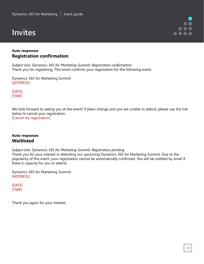#### **Auto responses Registration confirmation**

*Subject line: Dynamics 365 for Marketing Summit: Registration confirmation* Thank you for registering. This email confirms your registration for the following event:

Dynamics 365 for Marketing Summit [ADDRESS]

[DATE] [TIME]

We look forward to seeing you at the event! If plans change and you are unable to attend, please use the link below to cancel your registration. [Cancel my registration]

**Auto responses Waitlisted**

*Subject line: Dynamics 365 for Marketing Summit: Registration pending*

Thank you for your interest in attending our upcoming Dynamics 365 for Marketing Summit. Due to the popularity of this event, your registration cannot be automatically confirmed. You will be notified by email if there is capacity for you to attend.

Dynamics 365 for Marketing Summit [ADDRESS]

[DATE] [TIME]

Thank you again for your interest.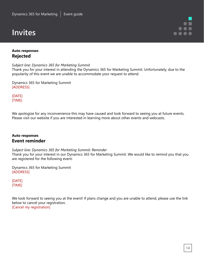#### **Auto responses Rejected**

*Subject line: Dynamics 365 for Marketing Summit*

Thank you for your interest in attending the Dynamics 365 for Marketing Summit. Unfortunately, due to the popularity of this event we are unable to accommodate your request to attend.

Dynamics 365 for Marketing Summit [ADDRESS]

[DATE] [TIME]

We apologize for any inconvenience this may have caused and look forward to seeing you at future events. Please visit our website if you are interested in learning more about other events and webcasts.

#### **Auto responses Event reminder**

*Subject line: Dynamics 365 for Marketing Summit: Reminder* Thank you for your interest in our Dynamics 365 for Marketing Summit. We would like to remind you that you are registered for the following event:

Dynamics 365 for Marketing Summit [ADDRESS]

[DATE] [TIME]

We look forward to seeing you at the event! If plans change and you are unable to attend, please use the link below to cancel your registration. [Cancel my registration]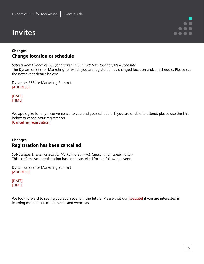#### **Changes Change location or schedule**

*Subject line: Dynamics 365 for Marketing Summit: New location/New schedule* The Dynamics 365 for Marketing for which you are registered has changed location and/or schedule. Please see the new event details below:

Dynamics 365 for Marketing Summit [ADDRESS]

[DATE] [TIME]

We apologize for any inconvenience to you and your schedule. If you are unable to attend, please use the link below to cancel your registration. [Cancel my registration]

#### **Changes Registration has been cancelled**

*Subject line: Dynamics 365 for Marketing Summit: Cancellation confirmation* This confirms your registration has been cancelled for the following event:

Dynamics 365 for Marketing Summit [ADDRESS]

[DATE] [TIME]

We look forward to seeing you at an event in the future! Please visit our [website] if you are interested in learning more about other events and webcasts.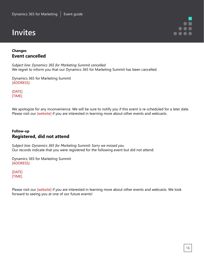#### **Changes Event cancelled**

*Subject line: Dynamics 365 for Marketing Summit cancelled* We regret to inform you that our Dynamics 365 for Marketing Summit has been cancelled.

Dynamics 365 for Marketing Summit [ADDRESS]

[DATE] [TIME]

We apologize for any inconvenience. We will be sure to notify you if this event is re-scheduled for a later date. Please visit our [website] if you are interested in learning more about other events and webcasts.

#### **Follow-up Registered, did not attend**

*Subject line: Dynamics 365 for Marketing Summit: Sorry we missed you* Our records indicate that you were registered for the following event but did not attend:

Dynamics 365 for Marketing Summit [ADDRESS]

[DATE] [TIME]

Please visit our [website] if you are interested in learning more about other events and webcasts. We look forward to seeing you at one of our future events!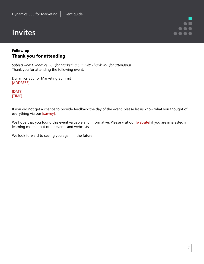#### **Follow-up Thank you for attending**

*Subject line: Dynamics 365 for Marketing Summit: Thank you for attending!* Thank you for attending the following event:

Dynamics 365 for Marketing Summit [ADDRESS]

[DATE] [TIME]

If you did not get a chance to provide feedback the day of the event, please let us know what you thought of everything via our [survey].

We hope that you found this event valuable and informative. Please visit our [website] if you are interested in learning more about other events and webcasts.

We look forward to seeing you again in the future!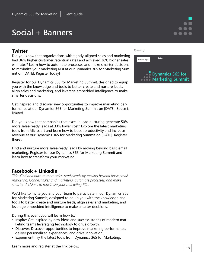# **Social + Banners**

#### **Twitter**

Did you know that organizations with tightly-aligned sales and marketing had 36% higher customer retention rates and achieved 38% higher sales win rates? Learn how to automate processes and make smarter decisions to maximize your marketing ROI at our Dynamics 365 for Marketing Summit on [DATE]. Register today!

Register for our Dynamics 365 for Marketing Summit, designed to equip you with the knowledge and tools to better create and nurture leads, align sales and marketing, and leverage embedded intelligence to make smarter decisions.

Get inspired and discover new opportunities to improve marketing performance at our Dynamics 365 for Marketing Summit on [DATE]. Space is limited.

Did you know that companies that excel in lead nurturing generate 50% more sales-ready leads at 33% lower cost? Explore the latest marketing tools from Microsoft and learn how to boost productivity and increase revenue at our Dynamics 365 for Marketing Summit on [DATE]. Register [here].

Find and nurture more sales-ready leads by moving beyond basic email marketing. Register for our Dynamics 365 for Marketing Summit and learn how to transform your marketing.

#### **Facebook + LinkedIn**

*Title: Find and nurture more sales-ready leads by moving beyond basic email marketing. Connect sales and marketing, automate processes, and make smarter decisions to maximize your marketing ROI.* 

We'd like to invite you and your team to participate in our Dynamics 365 for Marketing Summit, designed to equip you with the knowledge and tools to better create and nurture leads, align sales and marketing, and leverage embedded intelligence to make smarter decisions.

During this event you will learn how to:

- Inspire: Get inspired by new ideas and success stories of modern marketing teams leveraging technology to drive growth.
- Discover: Discover opportunities to improve marketing performance, deliver personalized experiences, and drive innovation.
- Experiment: Try the latest tools from Dynamics 365 for Marketing.

Learn more and register at the link below.

#### *Banner*